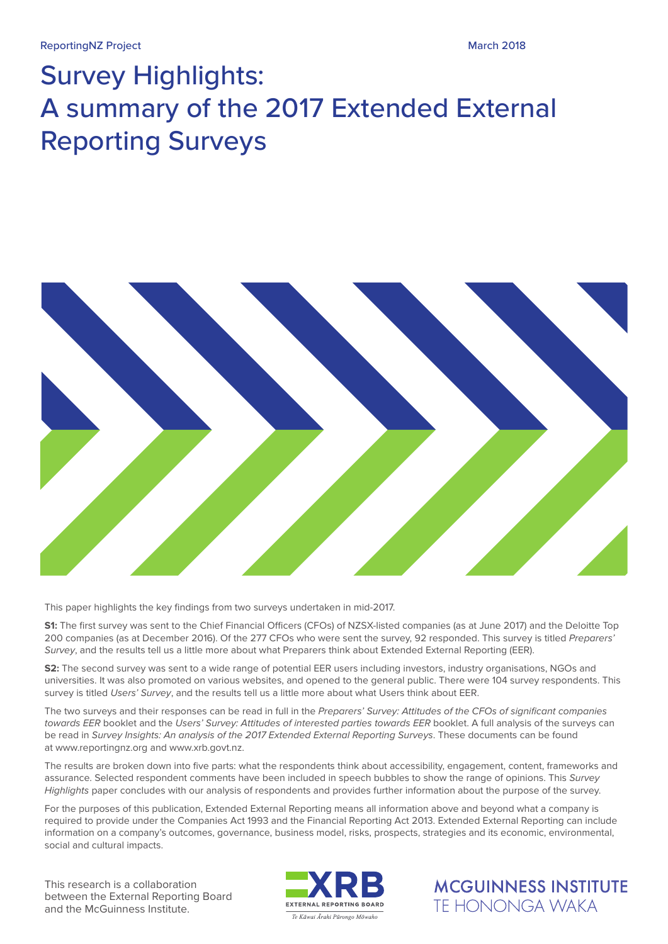# Survey Highlights: A summary of the 2017 Extended External Reporting Surveys



This paper highlights the key findings from two surveys undertaken in mid-2017.

**S1:** The first survey was sent to the Chief Financial Officers (CFOs) of NZSX-listed companies (as at June 2017) and the Deloitte Top 200 companies (as at December 2016). Of the 277 CFOs who were sent the survey, 92 responded. This survey is titled *Preparers' Survey*, and the results tell us a little more about what Preparers think about Extended External Reporting (EER).

**S2:** The second survey was sent to a wide range of potential EER users including investors, industry organisations, NGOs and universities. It was also promoted on various websites, and opened to the general public. There were 104 survey respondents. This survey is titled *Users' Survey*, and the results tell us a little more about what Users think about EER.

The two surveys and their responses can be read in full in the *Preparers' Survey: Attitudes of the CFOs of significant companies towards EER* booklet and the *Users' Survey: Attitudes of interested parties towards EER* booklet. A full analysis of the surveys can be read in *Survey Insights: An analysis of the 2017 Extended External Reporting Surveys*. These documents can be found at www.reportingnz.org and www.xrb.govt.nz.

The results are broken down into five parts: what the respondents think about accessibility, engagement, content, frameworks and assurance. Selected respondent comments have been included in speech bubbles to show the range of opinions. This *Survey Highlights* paper concludes with our analysis of respondents and provides further information about the purpose of the survey.

For the purposes of this publication, Extended External Reporting means all information above and beyond what a company is required to provide under the Companies Act 1993 and the Financial Reporting Act 2013. Extended External Reporting can include information on a company's outcomes, governance, business model, risks, prospects, strategies and its economic, environmental, social and cultural impacts.

This research is a collaboration between the External Reporting Board and the McGuinness Institute.



**MCGUINNESS INSTITUTE TF HONONGA WAKA**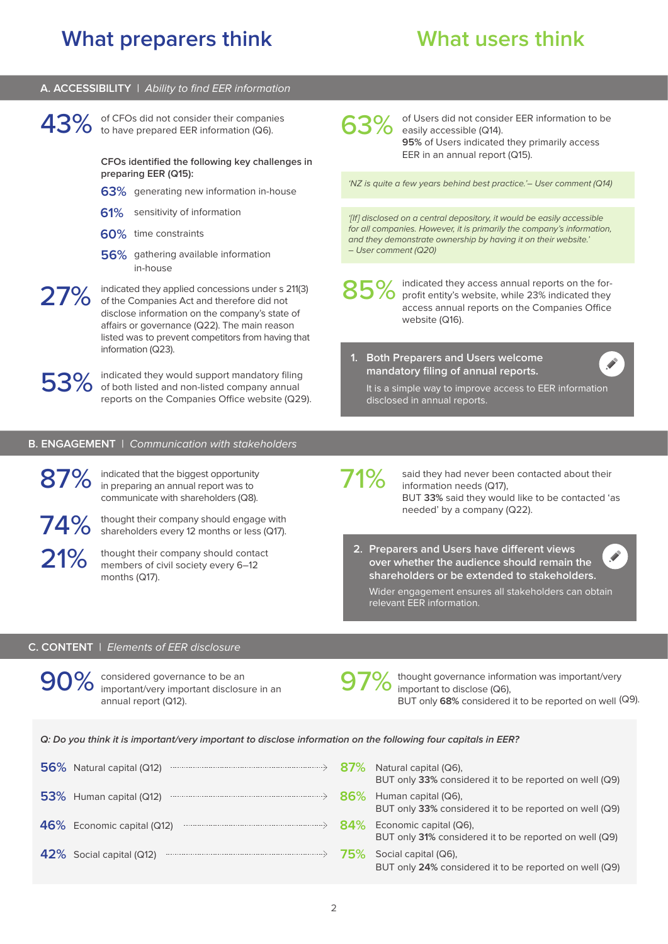#### **A. ACCESSIBILITY** | *Ability to find EER information*

of CFOs did not consider their companies 43% of CFOs did not consider their companies 63%

> **CFOs identified the following key challenges in preparing EER (Q15):**

- **63%** generating new information in-house
- **61%** sensitivity of information
- **60%** time constraints
- **56%** gathering available information in-house

indicated they applied concessions under s 211(3) 27% indicated they applied concessions under s 2<br>of the Companies Act and therefore did not<br>dialso information on the company's state disclose information on the company's state of affairs or governance (Q22). The main reason listed was to prevent competitors from having that information (Q23).

indicated they would support mandatory filing 53% indicated they would support mandatory filing<br>
for both listed and non-listed company annual<br>
sports on the Companies Office website (O2) reports on the Companies Office website (Q29).

#### **B. ENGAGEMENT** | *Communication with stakeholders*

87% 21%

thought their company should engage with 74% thought their company should engage with<br>shareholders every 12 months or less (Q17).

> thought their company should contact members of civil society every 6–12 months (Q17).

indicated that the biggest opportunity in preparing an annual report was to communicate with shareholders (Q8).

of Users did not consider EER information to be easily accessible (Q14). **95%** of Users indicated they primarily access EER in an annual report (Q15).

*'NZ is quite a few years behind best practice.'– User comment (Q14)*

*'[If] disclosed on a central depository, it would be easily accessible for all companies. However, it is primarily the company's information, and they demonstrate ownership by having it on their website.' – User comment (Q20)*

85% indicated they access annual reports on the for-<br>85% profit entity's website, while 23% indicated they profit entity's website, while 23% indicated they access annual reports on the Companies Office website (Q16).

### **1. Both Preparers and Users welcome mandatory filing of annual reports.**

It is a simple way to improve access to EER information disclosed in annual reports.

71%

said they had never been contacted about their information needs (Q17), BUT **33%** said they would like to be contacted 'as needed' by a company (Q22).

**2. Preparers and Users have different views over whether the audience should remain the shareholders or be extended to stakeholders.**

Wider engagement ensures all stakeholders can obtain relevant EER information.

#### **C. CONTENT** | *Elements of EER disclosure*

90% considered governance to be an important/very important disclosure important/very important disclosure in an annual report (Q12).



thought governance information was important/very important to disclose (Q6), BUT only **68%** considered it to be reported on well (Q9).

*Q: Do you think it is important/very important to disclose information on the following four capitals in EER?*

| 56% Natural capital (Q12)<br>$\hspace*{1.5cm} \xrightarrow{\hspace*{1.5cm}} \hspace*{1.5cm} \xrightarrow{\hspace*{1.5cm}} \hspace*{1.5cm} \xrightarrow{\hspace*{1.5cm}} \hspace*{1.5cm} \xrightarrow{\hspace*{1.5cm}} \hspace*{1.5cm} \xrightarrow{\hspace*{1.5cm}} \hspace*{1.5cm} \xrightarrow{\hspace*{1.5cm}} \hspace*{1.5cm} \xrightarrow{\hspace*{1.5cm}} \hspace*{1.5cm} \xrightarrow{\hspace*{1.5cm}} \hspace*{1.5cm} \xrightarrow{\hspace*{1.5cm}} \hspace*{1.5cm} \xrightarrow$ | 87% | Natural capital (Q6),<br>BUT only 33% considered it to be reported on well (Q9)  |
|-------------------------------------------------------------------------------------------------------------------------------------------------------------------------------------------------------------------------------------------------------------------------------------------------------------------------------------------------------------------------------------------------------------------------------------------------------------------------------------------|-----|----------------------------------------------------------------------------------|
| 53% Human capital (Q12)<br>$\hspace*{1.5cm} \longrightarrow \hspace*{1.5cm}$                                                                                                                                                                                                                                                                                                                                                                                                              | 86% | Human capital (Q6),<br>BUT only 33% considered it to be reported on well (Q9)    |
| $46\%$ Economic capital (Q12) $\longrightarrow$                                                                                                                                                                                                                                                                                                                                                                                                                                           | 84% | Economic capital (Q6),<br>BUT only 31% considered it to be reported on well (Q9) |
| $42\%$ Social capital (Q12)<br>$\hspace*{1.5cm} \ldots \hspace*{1.5cm} \ldots \hspace*{1.5cm} \ldots \hspace*{1.5cm} \ldots \hspace*{1.5cm} \ldots \hspace*{1.5cm} \ldots \hspace*{1.5cm} \ldots \hspace*{1.5cm} \ldots \hspace*{1.5cm} \ldots \hspace*{1.5cm} \ldots \hspace*{1.5cm} \ldots \hspace*{1.5cm} \ldots \hspace*{1.5cm} \ldots \hspace*{1.5cm} \ldots \hspace*{1.5cm} \ldots \hspace*{1.5cm} \ldots \hspace*{1.5cm} \ld$                                                      | 75% | Social capital (Q6),<br>BUT only 24% considered it to be reported on well (Q9)   |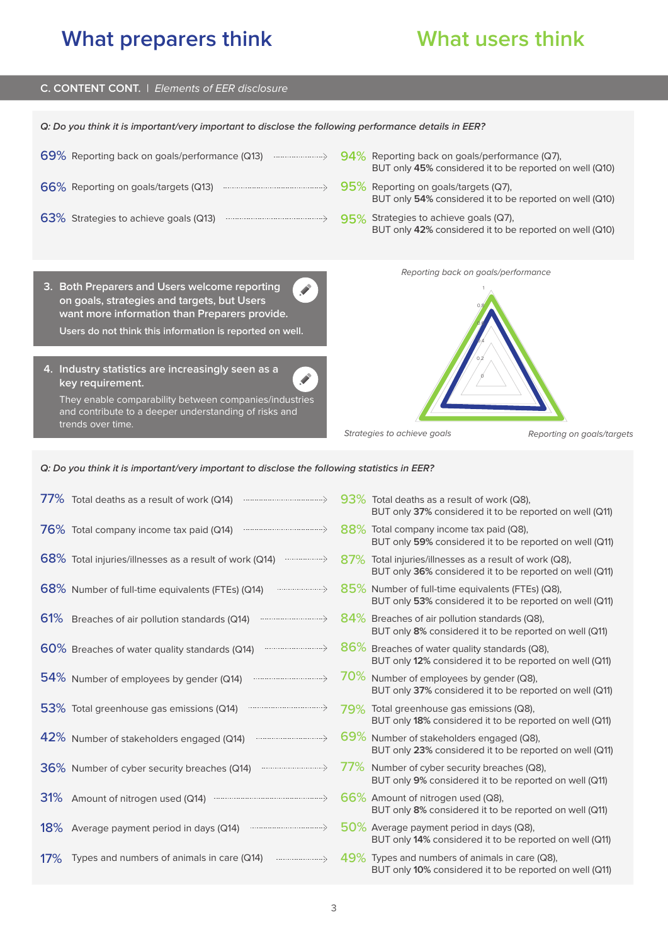## **C. CONTENT CONT.** | *Elements of EER disclosure*

| Q: Do you think it is important/very important to disclose the following performance details in EER?                                                                                     |                                                                                                    |  |  |  |
|------------------------------------------------------------------------------------------------------------------------------------------------------------------------------------------|----------------------------------------------------------------------------------------------------|--|--|--|
| $69\%$ Reporting back on goals/performance (Q13) $\longrightarrow$ $94\%$ Reporting back on goals/performance (Q7),                                                                      | BUT only 45% considered it to be reported on well (Q10)                                            |  |  |  |
|                                                                                                                                                                                          | $95\%$ Reporting on goals/targets (Q7),<br>BUT only 54% considered it to be reported on well (Q10) |  |  |  |
| 63% Strategies to achieve goals (Q13)                                                                                                                                                    | 95% Strategies to achieve goals (Q7),<br>BUT only 42% considered it to be reported on well (Q10)   |  |  |  |
|                                                                                                                                                                                          | Reporting back on goals/performance                                                                |  |  |  |
| 3. Both Preparers and Users welcome reporting<br>on goals, strategies and targets, but Users<br>want more information than Preparers provide.                                            |                                                                                                    |  |  |  |
| Users do not think this information is reported on well.                                                                                                                                 |                                                                                                    |  |  |  |
|                                                                                                                                                                                          |                                                                                                    |  |  |  |
| 4. Industry statistics are increasingly seen as a<br>key requirement.<br>They enable comparability between companies/industries<br>and contribute to a deeper understanding of risks and |                                                                                                    |  |  |  |
| trends over time.                                                                                                                                                                        | Strategies to achieve goals<br>Reporting on goals/targets                                          |  |  |  |

*Q: Do you think it is important/very important to disclose the following statistics in EER?*

|     | 77% Total deaths as a result of work (Q14)                                                                                                                                                                                                                                                         | 93% Total deaths as a result of work (Q8).<br>BUT only 37% considered it to be reported on well (Q11)             |
|-----|----------------------------------------------------------------------------------------------------------------------------------------------------------------------------------------------------------------------------------------------------------------------------------------------------|-------------------------------------------------------------------------------------------------------------------|
|     | $\hspace*{1.5cm} \ldots \hspace*{1.5cm} \ldots \hspace*{1.5cm} \ldots \hspace*{1.5cm} \ldots \hspace*{1.5cm} \ldots \hspace*{1.5cm} \ldots \hspace*{1.5cm} \ldots \hspace*{1.5cm} \ldots \hspace*{1.5cm} \ldots \hspace*{1.5cm} \ldots \hspace*{1.5cm}$<br>76% Total company income tax paid (Q14) | 88% Total company income tax paid (Q8),<br>BUT only 59% considered it to be reported on well (Q11)                |
|     | $68\%$ Total injuries/illnesses as a result of work (Q14) $\longrightarrow$                                                                                                                                                                                                                        | 87% Total injuries/illnesses as a result of work (Q8),<br>BUT only 36% considered it to be reported on well (Q11) |
|     | 68% Number of full-time equivalents (FTEs) (Q14)<br>$\ldots \ldots \ldots \ldots \ldots \ldots \ldots \ldots \ldots \ldots \ldots \ldots$                                                                                                                                                          | 85% Number of full-time equivalents (FTEs) (Q8),<br>BUT only 53% considered it to be reported on well (Q11)       |
|     | 61% Breaches of air pollution standards (Q14)                                                                                                                                                                                                                                                      | 84% Breaches of air pollution standards (Q8),<br>BUT only 8% considered it to be reported on well (Q11)           |
|     | $\hspace{1cm} \dots \hspace{1cm} \dots \hspace{1cm} \dots \hspace{1cm} \dots \hspace{1cm} \dots \hspace{1cm} \dots \hspace{1cm} \dots \hspace{1cm} \dots \hspace{1cm} \dots \hspace{1cm} \dots \hspace{1cm} \dots$<br>60% Breaches of water quality standards (Q14)                                | 86% Breaches of water quality standards (Q8),<br>BUT only 12% considered it to be reported on well (Q11)          |
|     | 54% Number of employees by gender (Q14)                                                                                                                                                                                                                                                            | 70% Number of employees by gender (Q8),<br>BUT only 37% considered it to be reported on well (Q11)                |
|     | 53% Total greenhouse gas emissions (Q14)                                                                                                                                                                                                                                                           | 79% Total greenhouse gas emissions (Q8),<br>BUT only 18% considered it to be reported on well (Q11)               |
|     | 42% Number of stakeholders engaged (Q14)                                                                                                                                                                                                                                                           | 69% Number of stakeholders engaged (Q8),<br>BUT only 23% considered it to be reported on well (Q11)               |
|     | 36% Number of cyber security breaches (Q14)                                                                                                                                                                                                                                                        | 77% Number of cyber security breaches (Q8),<br>BUT only 9% considered it to be reported on well (Q11)             |
| 31% |                                                                                                                                                                                                                                                                                                    | 66% Amount of nitrogen used (Q8),<br>BUT only 8% considered it to be reported on well (Q11)                       |
|     | 18% Average payment period in days (Q14)                                                                                                                                                                                                                                                           | $50\%$ Average payment period in days (Q8),<br>BUT only 14% considered it to be reported on well (Q11)            |
| 17% | Types and numbers of animals in care (Q14)                                                                                                                                                                                                                                                         | 49% Types and numbers of animals in care (Q8),<br>BUT only 10% considered it to be reported on well (Q11)         |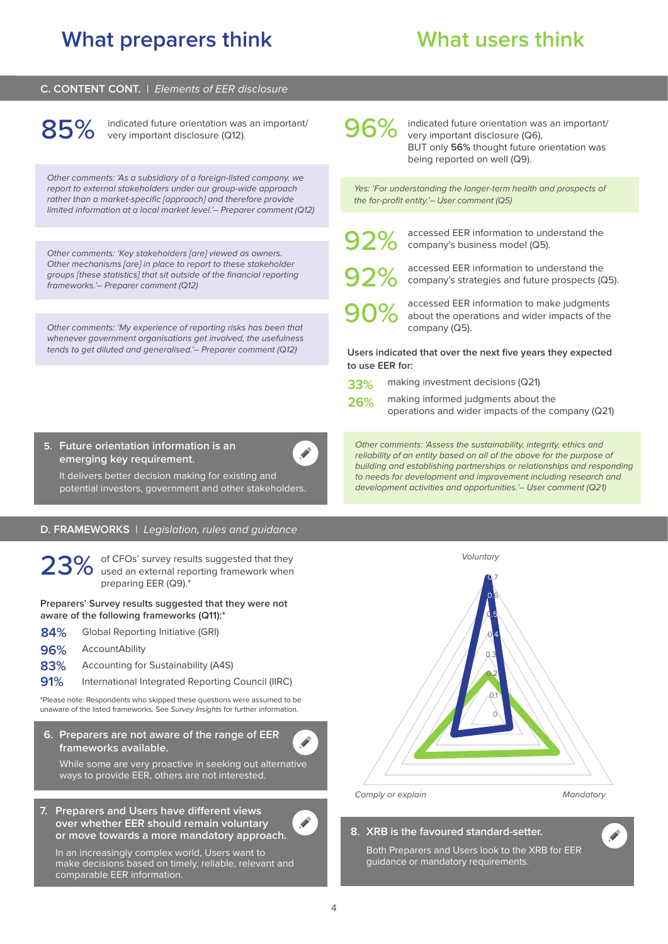#### **C. CONTENT CONT.** | *Elements of EER disclosure*

85% indicated future orientation was an important/<br>85% very important disclosure (Q12). very important disclosure (Q12).

*Other comments: 'As a subsidiary of a foreign-listed company, we report to external stakeholders under our group-wide approach rather than a market-specific [approach] and therefore provide limited information at a local market level.'– Preparer comment (Q12)*

*Other comments: 'Key stakeholders [are] viewed as owners. Other mechanisms [are] in place to report to these stakeholder groups [these statistics] that sit outside of the financial reporting frameworks.'– Preparer comment (Q12)*

*Other comments: 'My experience of reporting risks has been that whenever government organisations get involved, the usefulness tends to get diluted and generalised.'– Preparer comment (Q12)*



indicated future orientation was an important/ very important disclosure (Q6), BUT only **56%** thought future orientation was being reported on well (Q9).

*Yes: 'For understanding the longer-term health and prospects of the for-profit entity.'– User comment (Q5)*

92%

accessed EER information to understand the company's business model (Q5).

accessed EER information to understand the company's strategies and future prospects (Q5). 92%

accessed EER information to make judgments about the operations and wider impacts of the company (Q5). 90%

**Users indicated that over the next five years they expected to use EER for:** 

- making investment decisions (Q21) **33%**
- making informed judgments about the operations and wider impacts of the company (Q21) **26%**

*Other comments: 'Assess the sustainability, integrity, ethics and reliability of an entity based on all of the above for the purpose of building and establishing partnerships or relationships and responding to needs for development and improvement including research and development activities and opportunities.'– User comment (Q21)*

**5. Future orientation information is an emerging key requirement.**

It delivers better decision making for existing and potential investors, government and other stakeholders.

#### **D. FRAMEWORKS** | *Legislation, rules and guidance*

of CFOs' survey results suggested that they used an external reporting framework when 23% of CFOs' survey resu<br>preparing EER (Q9).\*

**Preparers' Survey results suggested that they were not aware of the following frameworks (Q11):\***

- Global Reporting Initiative (GRI) **84%**
- AccountAbility **96%**
- Accounting for Sustainability (A4S) **83%**
- International Integrated Reporting Council (IIRC) **91%**

\*Please note: Respondents who skipped these questions were assumed to be unaware of the listed frameworks. See *Survey Insights* for further information. <sup>0</sup>

**6. Preparers are not aware of the range of EER frameworks available.** 

While some are very proactive in seeking out alternative ways to provide EER, others are not interested.

#### **7. Preparers and Users have different views over whether EER should remain voluntary or move towards a more mandatory approach.**

In an increasingly complex world, Users want to make decisions based on timely, reliable, relevant and comparable EER information.



### **8. XRB is the favoured standard-setter.**

Both Preparers and Users look to the XRB for EER guidance or mandatory requirements.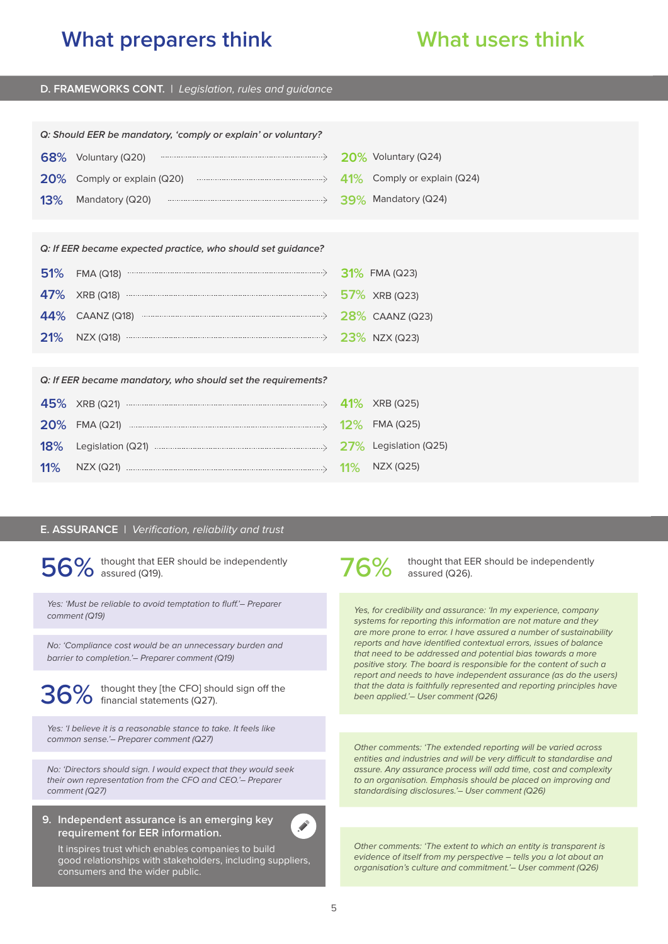#### **D. FRAMEWORKS CONT.** | *Legislation, rules and guidance*

| Q: Should EER be mandatory, 'comply or explain' or voluntary? |                                                             |  |                        |  |
|---------------------------------------------------------------|-------------------------------------------------------------|--|------------------------|--|
|                                                               | $68\%$ Voluntary (Q20)                                      |  | $20\%$ Voluntary (Q24) |  |
| <b>20%</b>                                                    | Comply or explain (Q20) <b>Comply</b> or explain (Q24)      |  |                        |  |
| 13%                                                           | Mandatory (Q20) manuscritics and all the SO Mandatory (Q24) |  |                        |  |
|                                                               |                                                             |  |                        |  |
| Q: If EER became expected practice, who should set guidance?  |                                                             |  |                        |  |
| <b>51%</b>                                                    | $FMA (Q18)$                                                 |  | $31\%$ FMA (Q23)       |  |
| 47%                                                           |                                                             |  |                        |  |
| 44%                                                           |                                                             |  |                        |  |
| <b>21%</b>                                                    | NZX (Q18) $\longrightarrow$ 23% NZX (Q23)                   |  |                        |  |
|                                                               |                                                             |  |                        |  |
| Q: If EER became mandatory, who should set the requirements?  |                                                             |  |                        |  |
| 45%                                                           | XRB (Q21) $\longrightarrow$ 41% XRB (Q25)                   |  |                        |  |
| <b>20%</b>                                                    | FMA (Q21) $\cdots$ FMA (Q25)                                |  |                        |  |
| 18%                                                           |                                                             |  |                        |  |
| 11%                                                           | NZX (Q21) $\cdots$ 11%                                      |  | NZX (Q25)              |  |
|                                                               |                                                             |  |                        |  |

#### **E. ASSURANCE** | *Verification, reliability and trust*

thought that EER should be independently  $56\%$  thought that E

*Yes: 'Must be reliable to avoid temptation to fluff.'– Preparer comment (Q19)*

*No: 'Compliance cost would be an unnecessary burden and barrier to completion.'– Preparer comment (Q19)*

thought they [the CFO] should sign off the  $36\%$  thought they [the CFO] shows financial statements (Q27).

*Yes: 'I believe it is a reasonable stance to take. It feels like common sense.'– Preparer comment (Q27)*

*No: 'Directors should sign. I would expect that they would seek their own representation from the CFO and CEO.'– Preparer comment (Q27)*

**9. Independent assurance is an emerging key requirement for EER information.**



It inspires trust which enables companies to build good relationships with stakeholders, including suppliers, consumers and the wider public.



thought that EER should be independently assured (Q26).

*Yes, for credibility and assurance: 'In my experience, company systems for reporting this information are not mature and they are more prone to error. I have assured a number of sustainability reports and have identified contextual errors, issues of balance that need to be addressed and potential bias towards a more positive story. The board is responsible for the content of such a report and needs to have independent assurance (as do the users) that the data is faithfully represented and reporting principles have been applied.'– User comment (Q26)*

*Other comments: 'The extended reporting will be varied across entities and industries and will be very difficult to standardise and assure. Any assurance process will add time, cost and complexity to an organisation. Emphasis should be placed on improving and standardising disclosures.'– User comment (Q26)*

*Other comments: 'The extent to which an entity is transparent is evidence of itself from my perspective – tells you a lot about an organisation's culture and commitment.'– User comment (Q26)*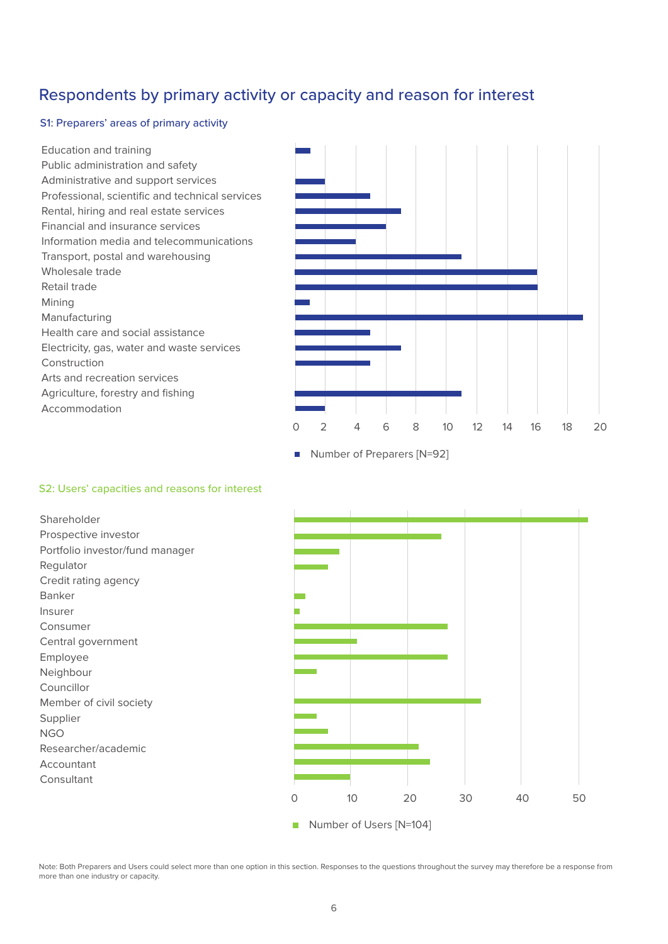## Respondents by primary activity or capacity and reason for interest

### S1: Preparers' areas of primary activity

Education and training Public administration and safety Administrative and support services Professional, scientific and technical services Rental, hiring and real estate services Financial and insurance services Information media and telecommunications Transport, postal and warehousing Wholesale trade Retail trade Mining Manufacturing Health care and social assistance Electricity, gas, water and waste services Construction Arts and recreation services Agriculture, forestry and fishing Accommodation



 $\blacksquare$ Number of Preparers [N=92]

### S2: Users' capacities and reasons for interest

Shareholder Prospective investor Portfolio investor/fund manager Regulator Credit rating agency Banker Insurer Consumer Central government Employee Neighbour Councillor Member of civil society Supplier NGO Researcher/academic Accountant Consultant



Note: Both Preparers and Users could select more than one option in this section. Responses to the questions throughout the survey may therefore be a response from more than one industry or capacity.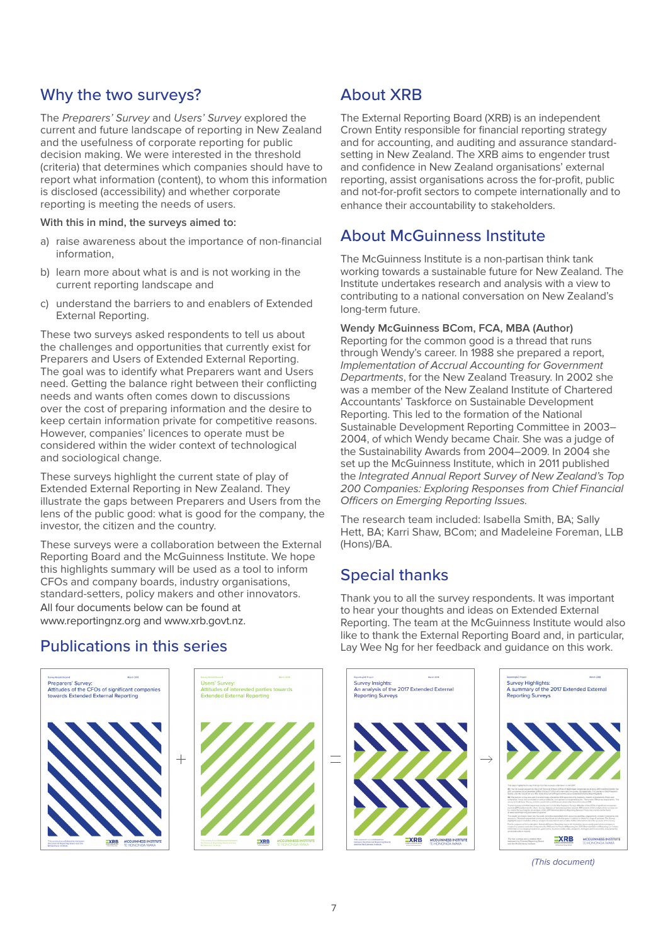## Why the two surveys?

The *Preparers' Survey* and *Users' Survey* explored the current and future landscape of reporting in New Zealand and the usefulness of corporate reporting for public decision making. We were interested in the threshold (criteria) that determines which companies should have to report what information (content), to whom this information is disclosed (accessibility) and whether corporate reporting is meeting the needs of users.

**With this in mind, the surveys aimed to:**

- a) raise awareness about the importance of non-financial information,
- b) learn more about what is and is not working in the current reporting landscape and
- c) understand the barriers to and enablers of Extended External Reporting.

These two surveys asked respondents to tell us about the challenges and opportunities that currently exist for Preparers and Users of Extended External Reporting. The goal was to identify what Preparers want and Users need. Getting the balance right between their conflicting needs and wants often comes down to discussions over the cost of preparing information and the desire to keep certain information private for competitive reasons. However, companies' licences to operate must be considered within the wider context of technological and sociological change.

These surveys highlight the current state of play of Extended External Reporting in New Zealand. They illustrate the gaps between Preparers and Users from the lens of the public good: what is good for the company, the investor, the citizen and the country.

These surveys were a collaboration between the External Reporting Board and the McGuinness Institute. We hope this highlights summary will be used as a tool to inform CFOs and company boards, industry organisations, standard-setters, policy makers and other innovators. All four documents below can be found at www.reportingnz.org and www.xrb.govt.nz.

# About XRB

The External Reporting Board (XRB) is an independent Crown Entity responsible for financial reporting strategy and for accounting, and auditing and assurance standardsetting in New Zealand. The XRB aims to engender trust and confidence in New Zealand organisations' external reporting, assist organisations across the for-profit, public and not-for-profit sectors to compete internationally and to enhance their accountability to stakeholders.

## About McGuinness Institute

The McGuinness Institute is a non-partisan think tank working towards a sustainable future for New Zealand. The Institute undertakes research and analysis with a view to contributing to a national conversation on New Zealand's long-term future.

### **Wendy McGuinness BCom, FCA, MBA (Author)**

Reporting for the common good is a thread that runs through Wendy's career. In 1988 she prepared a report, *Implementation of Accrual Accounting for Government Departments*, for the New Zealand Treasury. In 2002 she was a member of the New Zealand Institute of Chartered Accountants' Taskforce on Sustainable Development Reporting. This led to the formation of the National Sustainable Development Reporting Committee in 2003– 2004, of which Wendy became Chair. She was a judge of the Sustainability Awards from 2004–2009. In 2004 she set up the McGuinness Institute, which in 2011 published the *Integrated Annual Report Survey of New Zealand's Top 200 Companies: Exploring Responses from Chief Financial Officers on Emerging Reporting Issues.*

The research team included: Isabella Smith, BA; Sally Hett, BA; Karri Shaw, BCom; and Madeleine Foreman, LLB (Hons)/BA.

# Special thanks

Thank you to all the survey respondents. It was important to hear your thoughts and ideas on Extended External Reporting. The team at the McGuinness Institute would also like to thank the External Reporting Board and, in particular, Lay Wee Ng for her feedback and guidance on this work.



*(This document)*

## Publications in this series